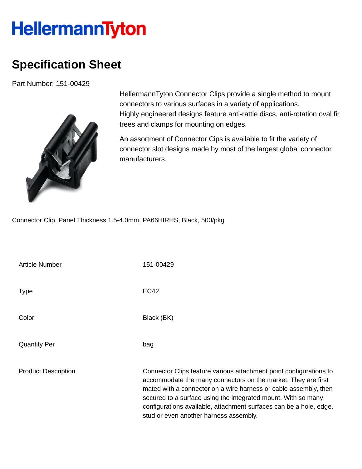## **HellermannTyton**

## **Specification Sheet**

Part Number: 151-00429



HellermannTyton Connector Clips provide a single method to mount connectors to various surfaces in a variety of applications. Highly engineered designs feature anti-rattle discs, anti-rotation oval fir trees and clamps for mounting on edges.

An assortment of Connector Cips is available to fit the variety of connector slot designs made by most of the largest global connector manufacturers.

Connector Clip, Panel Thickness 1.5-4.0mm, PA66HIRHS, Black, 500/pkg

| <b>Article Number</b>      | 151-00429                                                                                                                                                                                                                                                                                                                                                                                |
|----------------------------|------------------------------------------------------------------------------------------------------------------------------------------------------------------------------------------------------------------------------------------------------------------------------------------------------------------------------------------------------------------------------------------|
| <b>Type</b>                | <b>EC42</b>                                                                                                                                                                                                                                                                                                                                                                              |
| Color                      | Black (BK)                                                                                                                                                                                                                                                                                                                                                                               |
| <b>Quantity Per</b>        | bag                                                                                                                                                                                                                                                                                                                                                                                      |
| <b>Product Description</b> | Connector Clips feature various attachment point configurations to<br>accommodate the many connectors on the market. They are first<br>mated with a connector on a wire harness or cable assembly, then<br>secured to a surface using the integrated mount. With so many<br>configurations available, attachment surfaces can be a hole, edge,<br>stud or even another harness assembly. |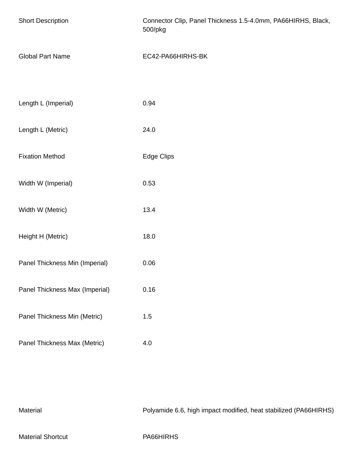| <b>Short Description</b>       | Connector Clip, Panel Thickness 1.5-4.0mm, PA66HIRHS, Black,<br>500/pkg |
|--------------------------------|-------------------------------------------------------------------------|
| <b>Global Part Name</b>        | EC42-PA66HIRHS-BK                                                       |
|                                |                                                                         |
| Length L (Imperial)            | 0.94                                                                    |
| Length L (Metric)              | 24.0                                                                    |
| <b>Fixation Method</b>         | Edge Clips                                                              |
| Width W (Imperial)             | 0.53                                                                    |
| Width W (Metric)               | 13.4                                                                    |
| Height H (Metric)              | 18.0                                                                    |
| Panel Thickness Min (Imperial) | 0.06                                                                    |
| Panel Thickness Max (Imperial) | 0.16                                                                    |
| Panel Thickness Min (Metric)   | 1.5                                                                     |
| Panel Thickness Max (Metric)   | 4.0                                                                     |
|                                |                                                                         |

Material Material Polyamide 6.6, high impact modified, heat stabilized (PA66HIRHS)

Material Shortcut **PA66HIRHS**